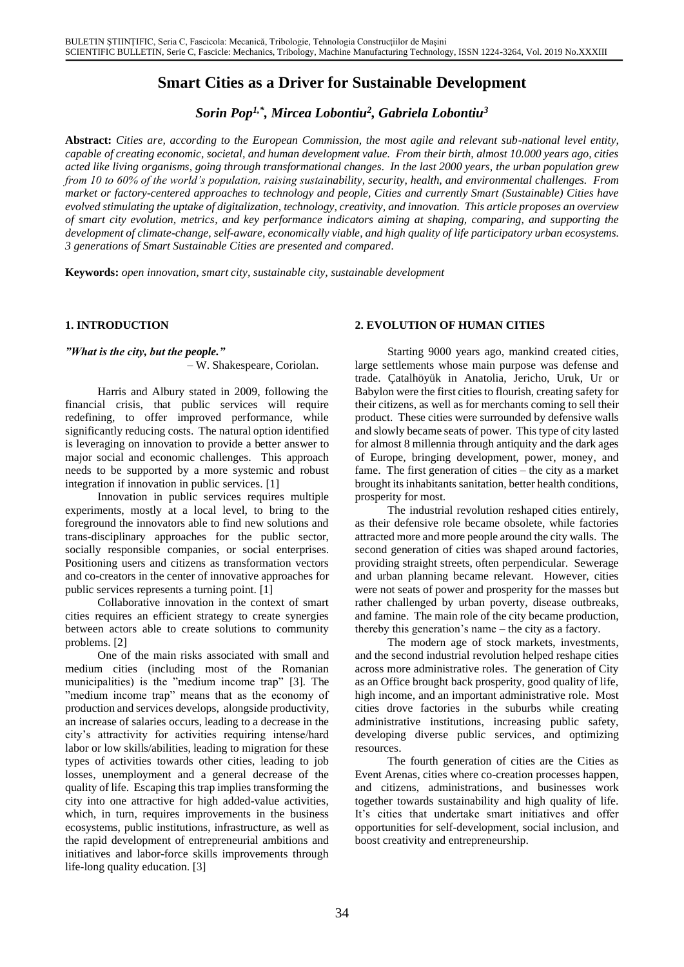# **Smart Cities as a Driver for Sustainable Development**

*Sorin Pop1,\*, Mircea Lobontiu<sup>2</sup> , Gabriela Lobontiu<sup>3</sup>*

**Abstract:** *Cities are, according to the European Commission, the most agile and relevant sub-national level entity, capable of creating economic, societal, and human development value. From their birth, almost 10.000 years ago, cities acted like living organisms, going through transformational changes. In the last 2000 years, the urban population grew from 10 to 60% of the world's population, raising sustainability, security, health, and environmental challenges. From market or factory-centered approaches to technology and people, Cities and currently Smart (Sustainable) Cities have evolved stimulating the uptake of digitalization, technology, creativity, and innovation. This article proposes an overview of smart city evolution, metrics, and key performance indicators aiming at shaping, comparing, and supporting the development of climate-change, self-aware, economically viable, and high quality of life participatory urban ecosystems. 3 generations of Smart Sustainable Cities are presented and compared.*

**Keywords:** *open innovation, smart city, sustainable city, sustainable development*

#### **1. INTRODUCTION**

#### *"What is the city, but the people."*

– W. Shakespeare, Coriolan.

Harris and Albury stated in 2009, following the financial crisis, that public services will require redefining, to offer improved performance, while significantly reducing costs. The natural option identified is leveraging on innovation to provide a better answer to major social and economic challenges. This approach needs to be supported by a more systemic and robust integration if innovation in public services. [1]

Innovation in public services requires multiple experiments, mostly at a local level, to bring to the foreground the innovators able to find new solutions and trans-disciplinary approaches for the public sector, socially responsible companies, or social enterprises. Positioning users and citizens as transformation vectors and co-creators in the center of innovative approaches for public services represents a turning point. [1]

Collaborative innovation in the context of smart cities requires an efficient strategy to create synergies between actors able to create solutions to community problems. [2]

One of the main risks associated with small and medium cities (including most of the Romanian municipalities) is the "medium income trap" [3]. The "medium income trap" means that as the economy of production and services develops, alongside productivity, an increase of salaries occurs, leading to a decrease in the city's attractivity for activities requiring intense/hard labor or low skills/abilities, leading to migration for these types of activities towards other cities, leading to job losses, unemployment and a general decrease of the quality of life. Escaping this trap implies transforming the city into one attractive for high added-value activities, which, in turn, requires improvements in the business ecosystems, public institutions, infrastructure, as well as the rapid development of entrepreneurial ambitions and initiatives and labor-force skills improvements through life-long quality education. [3]

#### **2. EVOLUTION OF HUMAN CITIES**

Starting 9000 years ago, mankind created cities, large settlements whose main purpose was defense and trade. Çatalhöyük in Anatolia, Jericho, Uruk, Ur or Babylon were the first cities to flourish, creating safety for their citizens, as well as for merchants coming to sell their product. These cities were surrounded by defensive walls and slowly became seats of power. This type of city lasted for almost 8 millennia through antiquity and the dark ages of Europe, bringing development, power, money, and fame. The first generation of cities – the city as a market brought its inhabitants sanitation, better health conditions, prosperity for most.

The industrial revolution reshaped cities entirely, as their defensive role became obsolete, while factories attracted more and more people around the city walls. The second generation of cities was shaped around factories, providing straight streets, often perpendicular. Sewerage and urban planning became relevant. However, cities were not seats of power and prosperity for the masses but rather challenged by urban poverty, disease outbreaks, and famine. The main role of the city became production, thereby this generation's name – the city as a factory.

The modern age of stock markets, investments, and the second industrial revolution helped reshape cities across more administrative roles. The generation of City as an Office brought back prosperity, good quality of life, high income, and an important administrative role. Most cities drove factories in the suburbs while creating administrative institutions, increasing public safety, developing diverse public services, and optimizing resources.

The fourth generation of cities are the Cities as Event Arenas, cities where co-creation processes happen, and citizens, administrations, and businesses work together towards sustainability and high quality of life. It's cities that undertake smart initiatives and offer opportunities for self-development, social inclusion, and boost creativity and entrepreneurship.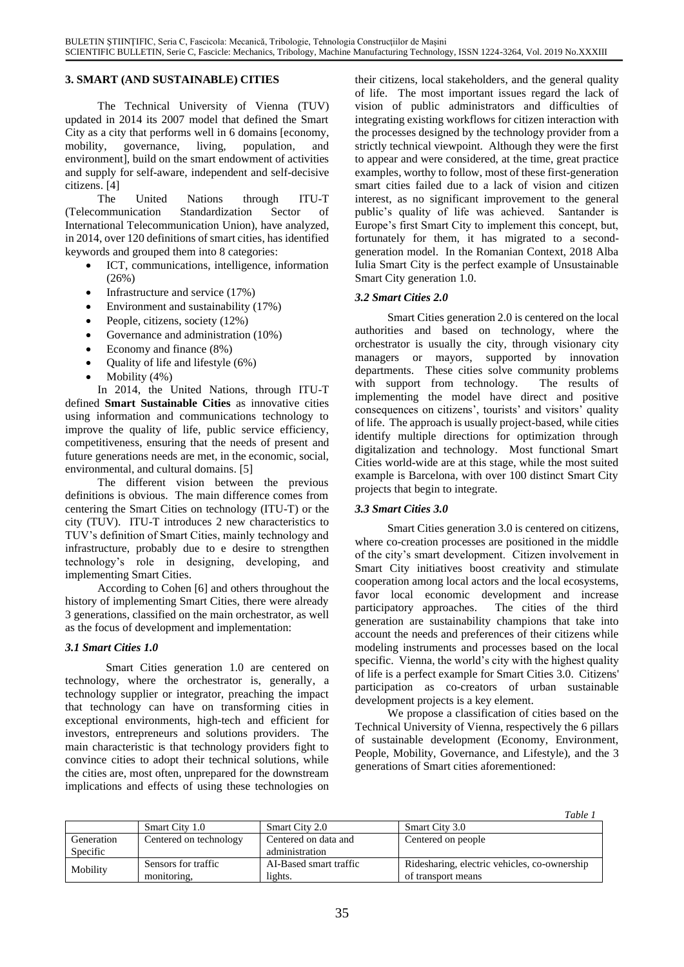# **3. SMART (AND SUSTAINABLE) CITIES**

The Technical University of Vienna (TUV) updated in 2014 its 2007 model that defined the Smart City as a city that performs well in 6 domains [economy, mobility, governance, living, population, and environment], build on the smart endowment of activities and supply for self-aware, independent and self-decisive citizens. [4]

The United Nations through ITU-T (Telecommunication Standardization Sector of International Telecommunication Union), have analyzed, in 2014, over 120 definitions of smart cities, has identified keywords and grouped them into 8 categories:

- ICT, communications, intelligence, information (26%)
- Infrastructure and service (17%)
- Environment and sustainability (17%)
- People, citizens, society (12%)
- Governance and administration (10%)
- Economy and finance  $(8\%)$
- Quality of life and lifestyle (6%)
- Mobility (4%)

In 2014, the United Nations, through ITU-T defined **Smart Sustainable Cities** as innovative cities using information and communications technology to improve the quality of life, public service efficiency, competitiveness, ensuring that the needs of present and future generations needs are met, in the economic, social, environmental, and cultural domains. [5]

The different vision between the previous definitions is obvious. The main difference comes from centering the Smart Cities on technology (ITU-T) or the city (TUV). ITU-T introduces 2 new characteristics to TUV's definition of Smart Cities, mainly technology and infrastructure, probably due to e desire to strengthen technology's role in designing, developing, and implementing Smart Cities.

According to Cohen [6] and others throughout the history of implementing Smart Cities, there were already 3 generations, classified on the main orchestrator, as well as the focus of development and implementation:

# *3.1 Smart Cities 1.0*

Smart Cities generation 1.0 are centered on technology, where the orchestrator is, generally, a technology supplier or integrator, preaching the impact that technology can have on transforming cities in exceptional environments, high-tech and efficient for investors, entrepreneurs and solutions providers. The main characteristic is that technology providers fight to convince cities to adopt their technical solutions, while the cities are, most often, unprepared for the downstream implications and effects of using these technologies on

their citizens, local stakeholders, and the general quality of life. The most important issues regard the lack of vision of public administrators and difficulties of integrating existing workflows for citizen interaction with the processes designed by the technology provider from a strictly technical viewpoint. Although they were the first to appear and were considered, at the time, great practice examples, worthy to follow, most of these first-generation smart cities failed due to a lack of vision and citizen interest, as no significant improvement to the general public's quality of life was achieved. Santander is Europe's first Smart City to implement this concept, but, fortunately for them, it has migrated to a secondgeneration model. In the Romanian Context, 2018 Alba Iulia Smart City is the perfect example of Unsustainable Smart City generation 1.0.

#### *3.2 Smart Cities 2.0*

Smart Cities generation 2.0 is centered on the local authorities and based on technology, where the orchestrator is usually the city, through visionary city managers or mayors, supported by innovation departments. These cities solve community problems with support from technology. The results of implementing the model have direct and positive consequences on citizens', tourists' and visitors' quality of life. The approach is usually project-based, while cities identify multiple directions for optimization through digitalization and technology. Most functional Smart Cities world-wide are at this stage, while the most suited example is Barcelona, with over 100 distinct Smart City projects that begin to integrate.

#### *3.3 Smart Cities 3.0*

Smart Cities generation 3.0 is centered on citizens, where co-creation processes are positioned in the middle of the city's smart development. Citizen involvement in Smart City initiatives boost creativity and stimulate cooperation among local actors and the local ecosystems, favor local economic development and increase participatory approaches. The cities of the third generation are sustainability champions that take into account the needs and preferences of their citizens while modeling instruments and processes based on the local specific. Vienna, the world's city with the highest quality of life is a perfect example for Smart Cities 3.0. Citizens' participation as co-creators of urban sustainable development projects is a key element.

We propose a classification of cities based on the Technical University of Vienna, respectively the 6 pillars of sustainable development (Economy, Environment, People, Mobility, Governance, and Lifestyle), and the 3 generations of Smart cities aforementioned:

*Table 1*

|            | Smart City 1.0         | <b>Smart City 2.0</b>  | Smart City 3.0                               |
|------------|------------------------|------------------------|----------------------------------------------|
| Generation | Centered on technology | Centered on data and   | Centered on people                           |
| Specific   |                        | administration         |                                              |
| Mobility   | Sensors for traffic    | AI-Based smart traffic | Ridesharing, electric vehicles, co-ownership |
|            | monitoring.            | lights.                | of transport means                           |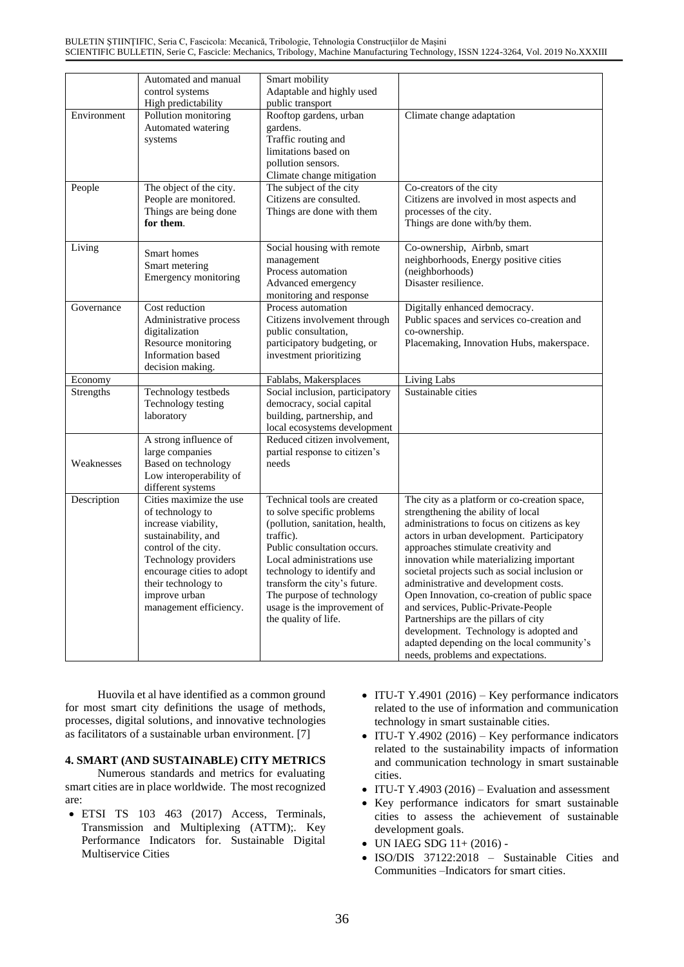|                  | Automated and manual<br>control systems<br>High predictability                                                                                                                                                                           | Smart mobility<br>Adaptable and highly used<br>public transport                                                                                                                                                                                                                                                         |                                                                                                                                                                                                                                                                                                                                                                                                                                                                                                                                                                                                                          |
|------------------|------------------------------------------------------------------------------------------------------------------------------------------------------------------------------------------------------------------------------------------|-------------------------------------------------------------------------------------------------------------------------------------------------------------------------------------------------------------------------------------------------------------------------------------------------------------------------|--------------------------------------------------------------------------------------------------------------------------------------------------------------------------------------------------------------------------------------------------------------------------------------------------------------------------------------------------------------------------------------------------------------------------------------------------------------------------------------------------------------------------------------------------------------------------------------------------------------------------|
| Environment      | Pollution monitoring<br>Automated watering<br>systems                                                                                                                                                                                    | Rooftop gardens, urban<br>gardens.<br>Traffic routing and<br>limitations based on<br>pollution sensors.<br>Climate change mitigation                                                                                                                                                                                    | Climate change adaptation                                                                                                                                                                                                                                                                                                                                                                                                                                                                                                                                                                                                |
| People           | The object of the city.<br>People are monitored.<br>Things are being done<br>for them.                                                                                                                                                   | The subject of the city<br>Citizens are consulted.<br>Things are done with them                                                                                                                                                                                                                                         | Co-creators of the city<br>Citizens are involved in most aspects and<br>processes of the city.<br>Things are done with/by them.                                                                                                                                                                                                                                                                                                                                                                                                                                                                                          |
| Living           | Smart homes<br>Smart metering<br>Emergency monitoring                                                                                                                                                                                    | Social housing with remote<br>management<br>Process automation<br>Advanced emergency<br>monitoring and response                                                                                                                                                                                                         | Co-ownership, Airbnb, smart<br>neighborhoods, Energy positive cities<br>(neighborhoods)<br>Disaster resilience.                                                                                                                                                                                                                                                                                                                                                                                                                                                                                                          |
| Governance       | Cost reduction<br>Administrative process<br>digitalization<br>Resource monitoring<br>Information based<br>decision making.                                                                                                               | Process automation<br>Citizens involvement through<br>public consultation,<br>participatory budgeting, or<br>investment prioritizing                                                                                                                                                                                    | Digitally enhanced democracy.<br>Public spaces and services co-creation and<br>co-ownership.<br>Placemaking, Innovation Hubs, makerspace.                                                                                                                                                                                                                                                                                                                                                                                                                                                                                |
| Economy          |                                                                                                                                                                                                                                          | Fablabs, Makersplaces                                                                                                                                                                                                                                                                                                   | Living Labs                                                                                                                                                                                                                                                                                                                                                                                                                                                                                                                                                                                                              |
| <b>Strengths</b> | Technology testbeds<br>Technology testing<br>laboratory                                                                                                                                                                                  | Social inclusion, participatory<br>democracy, social capital<br>building, partnership, and<br>local ecosystems development                                                                                                                                                                                              | Sustainable cities                                                                                                                                                                                                                                                                                                                                                                                                                                                                                                                                                                                                       |
| Weaknesses       | A strong influence of<br>large companies<br>Based on technology<br>Low interoperability of<br>different systems                                                                                                                          | Reduced citizen involvement,<br>partial response to citizen's<br>needs                                                                                                                                                                                                                                                  |                                                                                                                                                                                                                                                                                                                                                                                                                                                                                                                                                                                                                          |
| Description      | Cities maximize the use<br>of technology to<br>increase viability,<br>sustainability, and<br>control of the city.<br>Technology providers<br>encourage cities to adopt<br>their technology to<br>improve urban<br>management efficiency. | Technical tools are created<br>to solve specific problems<br>(pollution, sanitation, health,<br>traffic).<br>Public consultation occurs.<br>Local administrations use<br>technology to identify and<br>transform the city's future.<br>The purpose of technology<br>usage is the improvement of<br>the quality of life. | The city as a platform or co-creation space,<br>strengthening the ability of local<br>administrations to focus on citizens as key<br>actors in urban development. Participatory<br>approaches stimulate creativity and<br>innovation while materializing important<br>societal projects such as social inclusion or<br>administrative and development costs.<br>Open Innovation, co-creation of public space<br>and services, Public-Private-People<br>Partnerships are the pillars of city<br>development. Technology is adopted and<br>adapted depending on the local community's<br>needs, problems and expectations. |

Huovila et al have identified as a common ground for most smart city definitions the usage of methods, processes, digital solutions, and innovative technologies as facilitators of a sustainable urban environment. [7]

### **4. SMART (AND SUSTAINABLE) CITY METRICS**

Numerous standards and metrics for evaluating smart cities are in place worldwide. The most recognized are:

- ETSI TS 103 463 (2017) Access, Terminals, Transmission and Multiplexing (ATTM);. Key Performance Indicators for. Sustainable Digital Multiservice Cities
- ITU-T Y.4901 (2016) Key performance indicators related to the use of information and communication technology in smart sustainable cities.
- ITU-T Y.4902 (2016) Key performance indicators related to the sustainability impacts of information and communication technology in smart sustainable cities.
- ITU-T Y.4903 (2016) Evaluation and assessment
- Key performance indicators for smart sustainable cities to assess the achievement of sustainable development goals.
- UN IAEG SDG 11+ (2016) -
- ISO/DIS 37122:2018 Sustainable Cities and Communities –Indicators for smart cities.